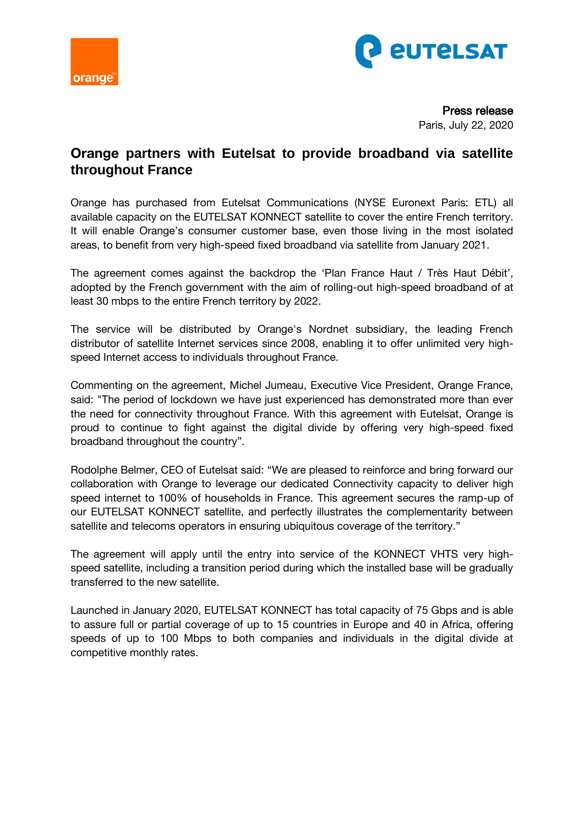



Press release Paris, July 22, 2020

## **Orange partners with Eutelsat to provide broadband via satellite throughout France**

Orange has purchased from Eutelsat Communications (NYSE Euronext Paris: ETL) all available capacity on the EUTELSAT KONNECT satellite to cover the entire French territory. It will enable Orange's consumer customer base, even those living in the most isolated areas, to benefit from very high-speed fixed broadband via satellite from January 2021.

The agreement comes against the backdrop the 'Plan France Haut / Très Haut Débit', adopted by the French government with the aim of rolling-out high-speed broadband of at least 30 mbps to the entire French territory by 2022.

The service will be distributed by Orange's Nordnet subsidiary, the leading French distributor of satellite Internet services since 2008, enabling it to offer unlimited very highspeed Internet access to individuals throughout France.

Commenting on the agreement, Michel Jumeau, Executive Vice President, Orange France, said: "The period of lockdown we have just experienced has demonstrated more than ever the need for connectivity throughout France. With this agreement with Eutelsat, Orange is proud to continue to fight against the digital divide by offering very high-speed fixed broadband throughout the country".

Rodolphe Belmer, CEO of Eutelsat said: "We are pleased to reinforce and bring forward our collaboration with Orange to leverage our dedicated Connectivity capacity to deliver high speed internet to 100% of households in France. This agreement secures the ramp-up of our EUTELSAT KONNECT satellite, and perfectly illustrates the complementarity between satellite and telecoms operators in ensuring ubiquitous coverage of the territory."

The agreement will apply until the entry into service of the KONNECT VHTS very highspeed satellite, including a transition period during which the installed base will be gradually transferred to the new satellite.

Launched in January 2020, EUTELSAT KONNECT has total capacity of 75 Gbps and is able to assure full or partial coverage of up to 15 countries in Europe and 40 in Africa, offering speeds of up to 100 Mbps to both companies and individuals in the digital divide at competitive monthly rates.